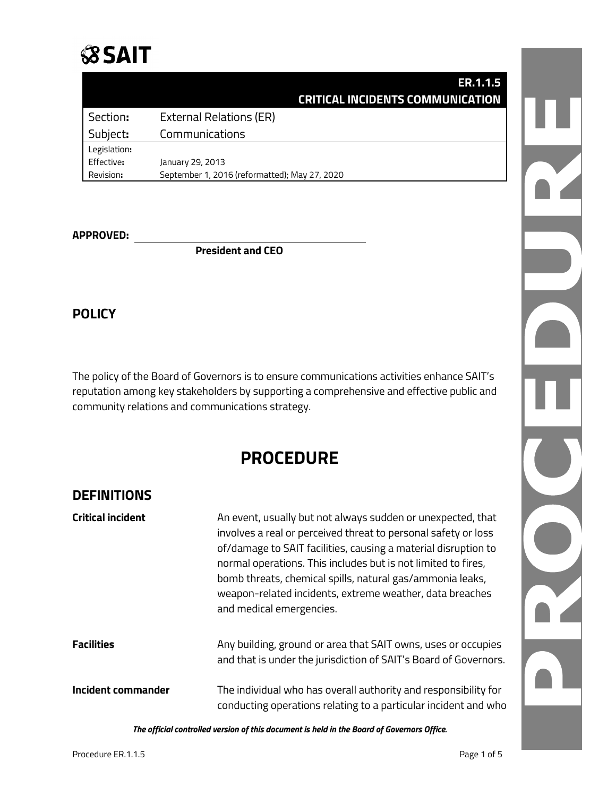### **SSAIT**

|                 | ER.1.1.5<br><b>CRITICAL INCIDENTS COMMUNICATION</b> |  |
|-----------------|-----------------------------------------------------|--|
| Section:        | <b>External Relations (ER)</b>                      |  |
| Subject:        | Communications                                      |  |
| Legislation:    |                                                     |  |
| Effective:      | January 29, 2013                                    |  |
| Revision:       | September 1, 2016 (reformatted); May 27, 2020       |  |
|                 |                                                     |  |
| <b>PPROVED:</b> |                                                     |  |
|                 | <b>President and CEO</b>                            |  |

#### **APPROVED:**

**President and CEO**

#### **POLICY**

The policy of the Board of Governors is to ensure communications activities enhance SAIT's reputation among key stakeholders by supporting a comprehensive and effective public and community relations and communications strategy.

### **PROCEDURE**

#### **DEFINITIONS**

| <b>Critical incident</b>  | An event, usually but not always sudden or unexpected, that<br>involves a real or perceived threat to personal safety or loss<br>of/damage to SAIT facilities, causing a material disruption to<br>normal operations. This includes but is not limited to fires,<br>bomb threats, chemical spills, natural gas/ammonia leaks,<br>weapon-related incidents, extreme weather, data breaches<br>and medical emergencies. |
|---------------------------|-----------------------------------------------------------------------------------------------------------------------------------------------------------------------------------------------------------------------------------------------------------------------------------------------------------------------------------------------------------------------------------------------------------------------|
| <b>Facilities</b>         | Any building, ground or area that SAIT owns, uses or occupies<br>and that is under the jurisdiction of SAIT's Board of Governors.                                                                                                                                                                                                                                                                                     |
| <b>Incident commander</b> | The individual who has overall authority and responsibility for<br>conducting operations relating to a particular incident and who                                                                                                                                                                                                                                                                                    |

*The official controlled version of this document is held in the Board of Governors Office.*

D PY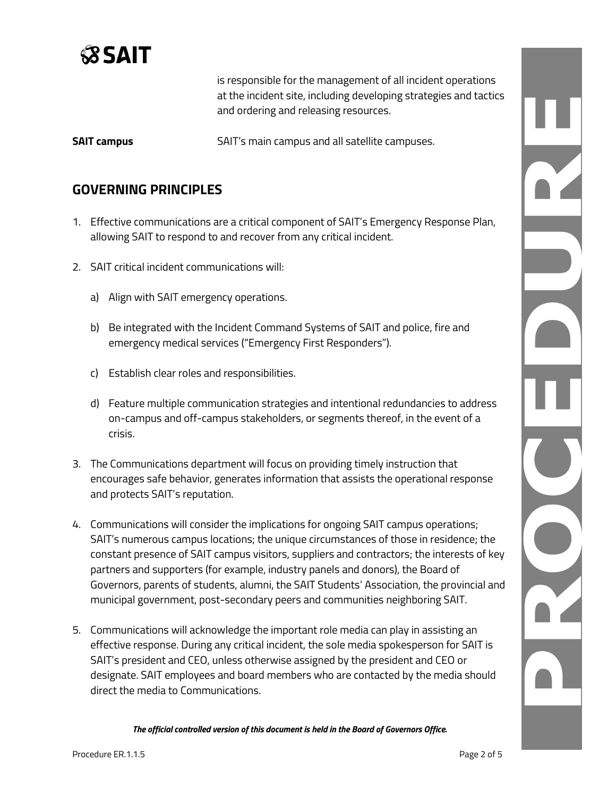

is responsible for the management of all incident operations at the incident site, including developing strategies and tactics and ordering and releasing resources.

**SAIT campus** SAIT's main campus and all satellite campuses.

#### **GOVERNING PRINCIPLES**

- 1. Effective communications are a critical component of SAIT's Emergency Response Plan, allowing SAIT to respond to and recover from any critical incident.
- 2. SAIT critical incident communications will:
	- a) Align with SAIT emergency operations.
	- b) Be integrated with the Incident Command Systems of SAIT and police, fire and emergency medical services ("Emergency First Responders").
	- c) Establish clear roles and responsibilities.
	- d) Feature multiple communication strategies and intentional redundancies to address on-campus and off-campus stakeholders, or segments thereof, in the event of a crisis.
- 3. The Communications department will focus on providing timely instruction that encourages safe behavior, generates information that assists the operational response and protects SAIT's reputation.
- 4. Communications will consider the implications for ongoing SAIT campus operations; SAIT's numerous campus locations; the unique circumstances of those in residence; the constant presence of SAIT campus visitors, suppliers and contractors; the interests of key partners and supporters (for example, industry panels and donors), the Board of Governors, parents of students, alumni, the SAIT Students' Association, the provincial and municipal government, post-secondary peers and communities neighboring SAIT.
- 5. Communications will acknowledge the important role media can play in assisting an effective response. During any critical incident, the sole media spokesperson for SAIT is SAIT's president and CEO, unless otherwise assigned by the president and CEO or designate. SAIT employees and board members who are contacted by the media should direct the media to Communications.

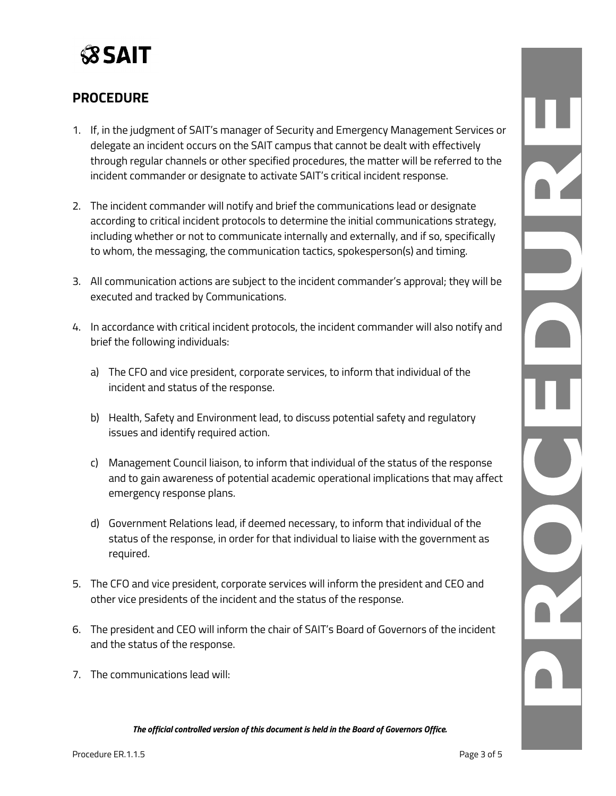

#### **PROCEDURE**

- 1. If, in the judgment of SAIT's manager of Security and Emergency Management Services or delegate an incident occurs on the SAIT campus that cannot be dealt with effectively through regular channels or other specified procedures, the matter will be referred to the incident commander or designate to activate SAIT's critical incident response.
- 2. The incident commander will notify and brief the communications lead or designate according to critical incident protocols to determine the initial communications strategy, including whether or not to communicate internally and externally, and if so, specifically to whom, the messaging, the communication tactics, spokesperson(s) and timing.
- 3. All communication actions are subject to the incident commander's approval; they will be executed and tracked by Communications.
- 4. In accordance with critical incident protocols, the incident commander will also notify and brief the following individuals:
	- a) The CFO and vice president, corporate services, to inform that individual of the incident and status of the response.
	- b) Health, Safety and Environment lead, to discuss potential safety and regulatory issues and identify required action.
	- c) Management Council liaison, to inform that individual of the status of the response and to gain awareness of potential academic operational implications that may affect emergency response plans.
	- d) Government Relations lead, if deemed necessary, to inform that individual of the status of the response, in order for that individual to liaise with the government as required.
- 5. The CFO and vice president, corporate services will inform the president and CEO and other vice presidents of the incident and the status of the response.
- 6. The president and CEO will inform the chair of SAIT's Board of Governors of the incident and the status of the response.
- 7. The communications lead will:

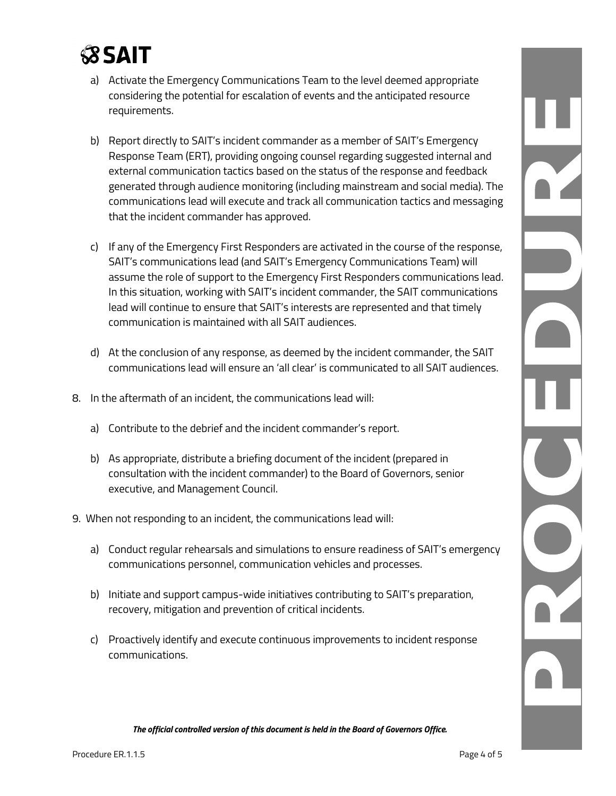# **SSAIT**

- a) Activate the Emergency Communications Team to the level deemed appropriate considering the potential for escalation of events and the anticipated resource requirements.
- b) Report directly to SAIT's incident commander as a member of SAIT's Emergency Response Team (ERT), providing ongoing counsel regarding suggested internal and external communication tactics based on the status of the response and feedback generated through audience monitoring (including mainstream and social media). The communications lead will execute and track all communication tactics and messaging that the incident commander has approved.
- c) If any of the Emergency First Responders are activated in the course of the response, SAIT's communications lead (and SAIT's Emergency Communications Team) will assume the role of support to the Emergency First Responders communications lead. In this situation, working with SAIT's incident commander, the SAIT communications lead will continue to ensure that SAIT's interests are represented and that timely communication is maintained with all SAIT audiences.
- d) At the conclusion of any response, as deemed by the incident commander, the SAIT communications lead will ensure an 'all clear' is communicated to all SAIT audiences.
- 8. In the aftermath of an incident, the communications lead will:
	- a) Contribute to the debrief and the incident commander's report.
	- b) As appropriate, distribute a briefing document of the incident (prepared in consultation with the incident commander) to the Board of Governors, senior executive, and Management Council.
- 9. When not responding to an incident, the communications lead will:
	- a) Conduct regular rehearsals and simulations to ensure readiness of SAIT's emergency communications personnel, communication vehicles and processes.
	- b) Initiate and support campus-wide initiatives contributing to SAIT's preparation, recovery, mitigation and prevention of critical incidents.
	- c) Proactively identify and execute continuous improvements to incident response communications.